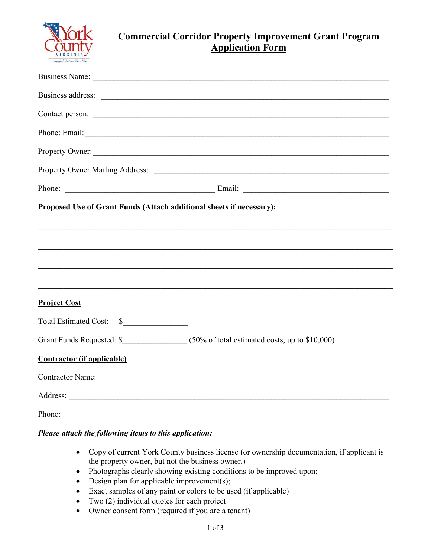

## **Commercial Corridor Property Improvement Grant Program Application Form**

|                                                                      | Property Owner:                                                                                                                                                                                                                |
|----------------------------------------------------------------------|--------------------------------------------------------------------------------------------------------------------------------------------------------------------------------------------------------------------------------|
|                                                                      | Property Owner Mailing Address: 2008. 2009. 2010. 2010. 2012. 2013. 2014. 2015. 2016. 2017. 2018. 2019. 2016. 2017. 2018. 2019. 2019. 2019. 2019. 2019. 2019. 2019. 2019. 2019. 2019. 2019. 2019. 2019. 2019. 2019. 2019. 2019 |
|                                                                      |                                                                                                                                                                                                                                |
| Proposed Use of Grant Funds (Attach additional sheets if necessary): |                                                                                                                                                                                                                                |
|                                                                      |                                                                                                                                                                                                                                |
|                                                                      |                                                                                                                                                                                                                                |
|                                                                      |                                                                                                                                                                                                                                |
|                                                                      |                                                                                                                                                                                                                                |
| <b>Project Cost</b>                                                  |                                                                                                                                                                                                                                |
| Total Estimated Cost: \$                                             |                                                                                                                                                                                                                                |
|                                                                      |                                                                                                                                                                                                                                |
| <b>Contractor (if applicable)</b>                                    |                                                                                                                                                                                                                                |
|                                                                      | Contractor Name:                                                                                                                                                                                                               |
|                                                                      |                                                                                                                                                                                                                                |
| Phone:                                                               |                                                                                                                                                                                                                                |

## *Please attach the following items to this application:*

- Copy of current York County business license (or ownership documentation, if applicant is the property owner, but not the business owner.)
- Photographs clearly showing existing conditions to be improved upon;
- $\bullet$  Design plan for applicable improvement(s);
- Exact samples of any paint or colors to be used (if applicable)
- Two (2) individual quotes for each project
- Owner consent form (required if you are a tenant)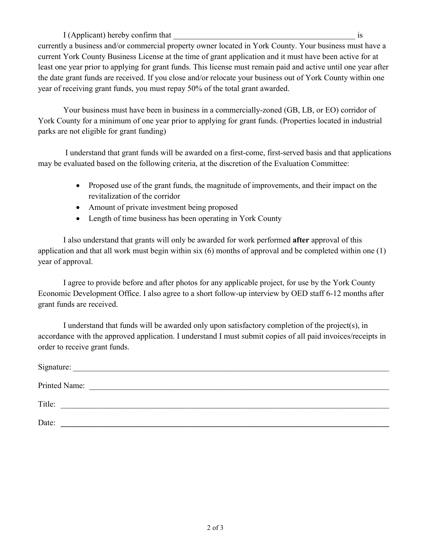I (Applicant) hereby confirm that  $\blacksquare$ currently a business and/or commercial property owner located in York County. Your business must have a current York County Business License at the time of grant application and it must have been active for at least one year prior to applying for grant funds. This license must remain paid and active until one year after the date grant funds are received. If you close and/or relocate your business out of York County within one year of receiving grant funds, you must repay 50% of the total grant awarded.

Your business must have been in business in a commercially‐zoned (GB, LB, or EO) corridor of York County for a minimum of one year prior to applying for grant funds. (Properties located in industrial parks are not eligible for grant funding)

I understand that grant funds will be awarded on a first-come, first-served basis and that applications may be evaluated based on the following criteria, at the discretion of the Evaluation Committee:

- Proposed use of the grant funds, the magnitude of improvements, and their impact on the revitalization of the corridor
- Amount of private investment being proposed
- Length of time business has been operating in York County

I also understand that grants will only be awarded for work performed **after** approval of this application and that all work must begin within six (6) months of approval and be completed within one (1) year of approval.

I agree to provide before and after photos for any applicable project, for use by the York County Economic Development Office. I also agree to a short follow-up interview by OED staff 6-12 months after grant funds are received.

I understand that funds will be awarded only upon satisfactory completion of the project(s), in accordance with the approved application. I understand I must submit copies of all paid invoices/receipts in order to receive grant funds.

| Signature:    |  |
|---------------|--|
| Printed Name: |  |
| Title:        |  |
| Date:         |  |